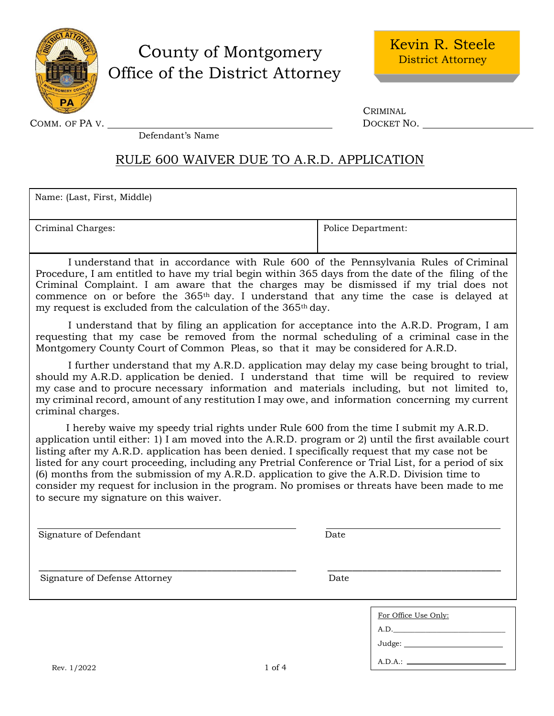

## County of Montgomery Office of the District Attorney

COMM. OF PA V. DOCKET NO.

CRIMINAL

Defendant's Name

### RULE 600 WAIVER DUE TO A.R.D. APPLICATION

Name: (Last, First, Middle)

Criminal Charges:  $\blacksquare$  Police Department:

A.D.A.:

I understand that in accordance with Rule 600 of the Pennsylvania Rules of Criminal Procedure, I am entitled to have my trial begin within 365 days from the date of the filing of the Criminal Complaint. I am aware that the charges may be dismissed if my trial does not commence on or before the 365th day. I understand that any time the case is delayed at my request is excluded from the calculation of the 365th day.

I understand that by filing an application for acceptance into the A.R.D. Program, I am requesting that my case be removed from the normal scheduling of a criminal case in the Montgomery County Court of Common Pleas, so that it may be considered for A.R.D.

I further understand that my A.R.D. application may delay my case being brought to trial, should my A.R.D. application be denied. I understand that time will be required to review my case and to procure necessary information and materials including, but not limited to, my criminal record, amount of any restitution I may owe, and information concerning my current criminal charges.

I hereby waive my speedy trial rights under Rule 600 from the time I submit my A.R.D. application until either: 1) I am moved into the A.R.D. program or 2) until the first available court listing after my A.R.D. application has been denied. I specifically request that my case not be listed for any court proceeding, including any Pretrial Conference or Trial List, for a period of six (6) months from the submission of my A.R.D. application to give the A.R.D. Division time to consider my request for inclusion in the program. No promises or threats have been made to me to secure my signature on this waiver.

| Signature of Defendant        | Date                                       |
|-------------------------------|--------------------------------------------|
| Signature of Defense Attorney | Date                                       |
|                               | For Office Use Only:<br>A.D.<br>Judge: ___ |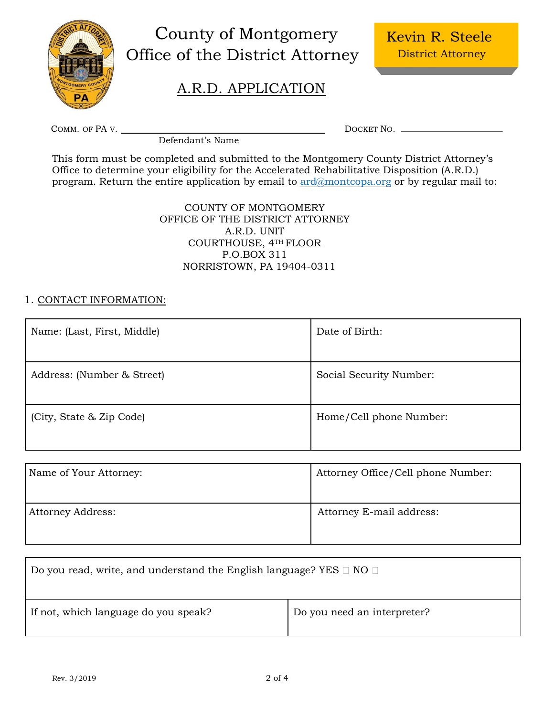

# County of Montgomery Office of the District Attorney

### A.R.D. APPLICATION

COMM. OF PA V. DOCKET NO. NEXT AND THE RESERVE TO A REPORT OF PA V.

Defendant's Name

This form must be completed and submitted to the Montgomery County District Attorney's Office to determine your eligibility for the Accelerated Rehabilitative Disposition (A.R.D.) program. Return the entire application by email to [ard@montcopa.org](mailto:ard@montcopa.org) or by regular mail to:

> COUNTY OF MONTGOMERY OFFICE OF THE DISTRICT ATTORNEY A.R.D. UNIT COURTHOUSE, 4TH FLOOR P.O.BOX 311 NORRISTOWN, PA 19404-0311

#### 1. CONTACT INFORMATION:

| Name: (Last, First, Middle) | Date of Birth:          |
|-----------------------------|-------------------------|
| Address: (Number & Street)  | Social Security Number: |
| (City, State & Zip Code)    | Home/Cell phone Number: |

| Name of Your Attorney:   | Attorney Office/Cell phone Number: |
|--------------------------|------------------------------------|
| <b>Attorney Address:</b> | Attorney E-mail address:           |

| Do you read, write, and understand the English language? YES $\Box$ NO $\Box$ |                             |  |
|-------------------------------------------------------------------------------|-----------------------------|--|
| If not, which language do you speak?                                          | Do you need an interpreter? |  |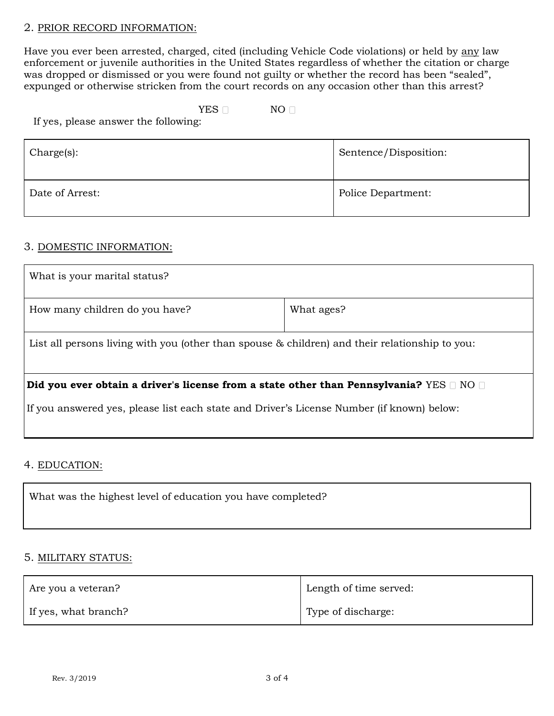#### 2. PRIOR RECORD INFORMATION:

Have you ever been arrested, charged, cited (including Vehicle Code violations) or held by any law enforcement or juvenile authorities in the United States regardless of whether the citation or charge was dropped or dismissed or you were found not guilty or whether the record has been "sealed", expunged or otherwise stricken from the court records on any occasion other than this arrest?

#### YES NO

If yes, please answer the following:

| Charge(s):      | Sentence/Disposition: |
|-----------------|-----------------------|
| Date of Arrest: | Police Department:    |

#### 3. DOMESTIC INFORMATION:

| What is your marital status?                                                                    |            |  |  |
|-------------------------------------------------------------------------------------------------|------------|--|--|
| How many children do you have?                                                                  | What ages? |  |  |
| List all persons living with you (other than spouse & children) and their relationship to you:  |            |  |  |
| Did you ever obtain a driver's license from a state other than Pennsylvania? $YES \Box NO \Box$ |            |  |  |
| If you answered yes, please list each state and Driver's License Number (if known) below:       |            |  |  |

4. EDUCATION:

What was the highest level of education you have completed?

#### 5. MILITARY STATUS:

| Are you a veteran?   | Length of time served: |  |
|----------------------|------------------------|--|
| If yes, what branch? | Type of discharge:     |  |